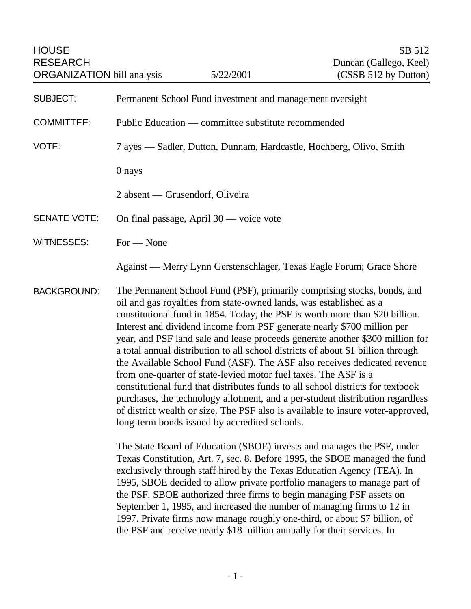| <b>HOUSE</b><br><b>RESEARCH</b><br><b>ORGANIZATION</b> bill analysis |                                                                                                                                                                                                                                                                                                                                                                                                                                                                                                                                                                                                                                                                                                                                                                                                                                                                                                                                                                                                                                                                                                | 5/22/2001                                 | SB 512<br>Duncan (Gallego, Keel)<br>(CSSB 512 by Dutton)                                                                                            |
|----------------------------------------------------------------------|------------------------------------------------------------------------------------------------------------------------------------------------------------------------------------------------------------------------------------------------------------------------------------------------------------------------------------------------------------------------------------------------------------------------------------------------------------------------------------------------------------------------------------------------------------------------------------------------------------------------------------------------------------------------------------------------------------------------------------------------------------------------------------------------------------------------------------------------------------------------------------------------------------------------------------------------------------------------------------------------------------------------------------------------------------------------------------------------|-------------------------------------------|-----------------------------------------------------------------------------------------------------------------------------------------------------|
| <b>SUBJECT:</b>                                                      | Permanent School Fund investment and management oversight                                                                                                                                                                                                                                                                                                                                                                                                                                                                                                                                                                                                                                                                                                                                                                                                                                                                                                                                                                                                                                      |                                           |                                                                                                                                                     |
| <b>COMMITTEE:</b>                                                    | Public Education — committee substitute recommended                                                                                                                                                                                                                                                                                                                                                                                                                                                                                                                                                                                                                                                                                                                                                                                                                                                                                                                                                                                                                                            |                                           |                                                                                                                                                     |
| VOTE:                                                                | 7 ayes — Sadler, Dutton, Dunnam, Hardcastle, Hochberg, Olivo, Smith                                                                                                                                                                                                                                                                                                                                                                                                                                                                                                                                                                                                                                                                                                                                                                                                                                                                                                                                                                                                                            |                                           |                                                                                                                                                     |
|                                                                      | 0 nays                                                                                                                                                                                                                                                                                                                                                                                                                                                                                                                                                                                                                                                                                                                                                                                                                                                                                                                                                                                                                                                                                         |                                           |                                                                                                                                                     |
|                                                                      | 2 absent — Grusendorf, Oliveira                                                                                                                                                                                                                                                                                                                                                                                                                                                                                                                                                                                                                                                                                                                                                                                                                                                                                                                                                                                                                                                                |                                           |                                                                                                                                                     |
| <b>SENATE VOTE:</b>                                                  |                                                                                                                                                                                                                                                                                                                                                                                                                                                                                                                                                                                                                                                                                                                                                                                                                                                                                                                                                                                                                                                                                                | On final passage, April $30$ — voice vote |                                                                                                                                                     |
| <b>WITNESSES:</b>                                                    | $For - None$                                                                                                                                                                                                                                                                                                                                                                                                                                                                                                                                                                                                                                                                                                                                                                                                                                                                                                                                                                                                                                                                                   |                                           |                                                                                                                                                     |
|                                                                      |                                                                                                                                                                                                                                                                                                                                                                                                                                                                                                                                                                                                                                                                                                                                                                                                                                                                                                                                                                                                                                                                                                |                                           | Against — Merry Lynn Gerstenschlager, Texas Eagle Forum; Grace Shore                                                                                |
| <b>BACKGROUND:</b>                                                   | The Permanent School Fund (PSF), primarily comprising stocks, bonds, and<br>oil and gas royalties from state-owned lands, was established as a<br>constitutional fund in 1854. Today, the PSF is worth more than \$20 billion.<br>Interest and dividend income from PSF generate nearly \$700 million per<br>year, and PSF land sale and lease proceeds generate another \$300 million for<br>a total annual distribution to all school districts of about \$1 billion through<br>the Available School Fund (ASF). The ASF also receives dedicated revenue<br>from one-quarter of state-levied motor fuel taxes. The ASF is a<br>constitutional fund that distributes funds to all school districts for textbook<br>purchases, the technology allotment, and a per-student distribution regardless<br>of district wealth or size. The PSF also is available to insure voter-approved,<br>long-term bonds issued by accredited schools.<br>The State Board of Education (SBOE) invests and manages the PSF, under<br>Texas Constitution, Art. 7, sec. 8. Before 1995, the SBOE managed the fund |                                           |                                                                                                                                                     |
|                                                                      |                                                                                                                                                                                                                                                                                                                                                                                                                                                                                                                                                                                                                                                                                                                                                                                                                                                                                                                                                                                                                                                                                                |                                           | exclusively through staff hired by the Texas Education Agency (TEA). In<br>1995. SBOE decided to allow private portfolio managers to manage part of |

 $\nu$  private portfolio managers to manage  $p$ the PSF. SBOE authorized three firms to begin managing PSF assets on September 1, 1995, and increased the number of managing firms to 12 in 1997. Private firms now manage roughly one-third, or about \$7 billion, of the PSF and receive nearly \$18 million annually for their services. In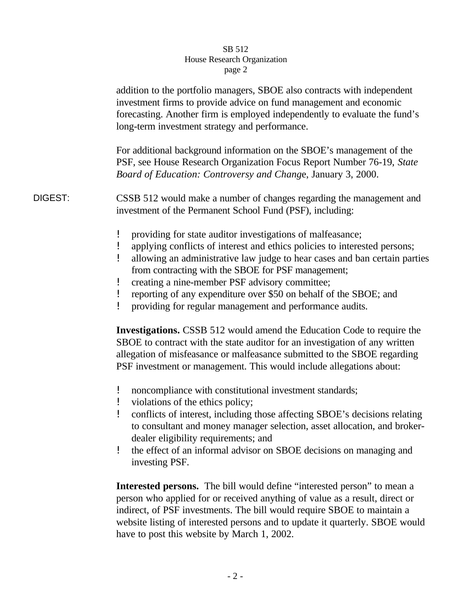|         | addition to the portfolio managers, SBOE also contracts with independent<br>investment firms to provide advice on fund management and economic<br>forecasting. Another firm is employed independently to evaluate the fund's<br>long-term investment strategy and performance.                                                                                                                                                                                       |  |  |  |
|---------|----------------------------------------------------------------------------------------------------------------------------------------------------------------------------------------------------------------------------------------------------------------------------------------------------------------------------------------------------------------------------------------------------------------------------------------------------------------------|--|--|--|
|         | For additional background information on the SBOE's management of the<br>PSF, see House Research Organization Focus Report Number 76-19, State<br>Board of Education: Controversy and Change, January 3, 2000.                                                                                                                                                                                                                                                       |  |  |  |
| DIGEST: | CSSB 512 would make a number of changes regarding the management and<br>investment of the Permanent School Fund (PSF), including:                                                                                                                                                                                                                                                                                                                                    |  |  |  |
|         | providing for state auditor investigations of malfeasance;<br>applying conflicts of interest and ethics policies to interested persons;<br>Ţ.<br>allowing an administrative law judge to hear cases and ban certain parties<br>from contracting with the SBOE for PSF management;<br>creating a nine-member PSF advisory committee;<br>reporting of any expenditure over \$50 on behalf of the SBOE; and<br>providing for regular management and performance audits. |  |  |  |
|         | <b>Investigations.</b> CSSB 512 would amend the Education Code to require the<br>SBOE to contract with the state auditor for an investigation of any written<br>allegation of misfeasance or malfeasance submitted to the SBOE regarding<br>PSF investment or management. This would include allegations about:                                                                                                                                                      |  |  |  |
|         | noncompliance with constitutional investment standards;<br>violations of the ethics policy;<br>conflicts of interest, including those affecting SBOE's decisions relating<br>to consultant and money manager selection, asset allocation, and broker-<br>dealer eligibility requirements; and                                                                                                                                                                        |  |  |  |

! the effect of an informal advisor on SBOE decisions on managing and investing PSF.

**Interested persons.** The bill would define "interested person" to mean a person who applied for or received anything of value as a result, direct or indirect, of PSF investments. The bill would require SBOE to maintain a website listing of interested persons and to update it quarterly. SBOE would have to post this website by March 1, 2002.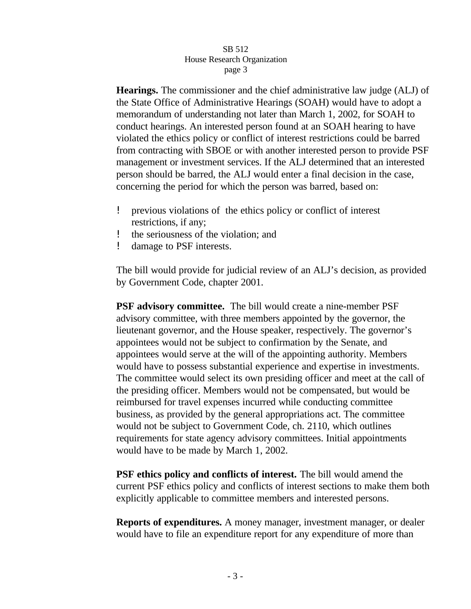**Hearings.** The commissioner and the chief administrative law judge (ALJ) of the State Office of Administrative Hearings (SOAH) would have to adopt a memorandum of understanding not later than March 1, 2002, for SOAH to conduct hearings. An interested person found at an SOAH hearing to have violated the ethics policy or conflict of interest restrictions could be barred from contracting with SBOE or with another interested person to provide PSF management or investment services. If the ALJ determined that an interested person should be barred, the ALJ would enter a final decision in the case, concerning the period for which the person was barred, based on:

- ! previous violations of the ethics policy or conflict of interest restrictions, if any;
- ! the seriousness of the violation; and
- ! damage to PSF interests.

The bill would provide for judicial review of an ALJ's decision, as provided by Government Code, chapter 2001.

**PSF advisory committee.** The bill would create a nine-member PSF advisory committee, with three members appointed by the governor, the lieutenant governor, and the House speaker, respectively. The governor's appointees would not be subject to confirmation by the Senate, and appointees would serve at the will of the appointing authority. Members would have to possess substantial experience and expertise in investments. The committee would select its own presiding officer and meet at the call of the presiding officer. Members would not be compensated, but would be reimbursed for travel expenses incurred while conducting committee business, as provided by the general appropriations act. The committee would not be subject to Government Code, ch. 2110, which outlines requirements for state agency advisory committees. Initial appointments would have to be made by March 1, 2002.

**PSF ethics policy and conflicts of interest.** The bill would amend the current PSF ethics policy and conflicts of interest sections to make them both explicitly applicable to committee members and interested persons.

**Reports of expenditures.** A money manager, investment manager, or dealer would have to file an expenditure report for any expenditure of more than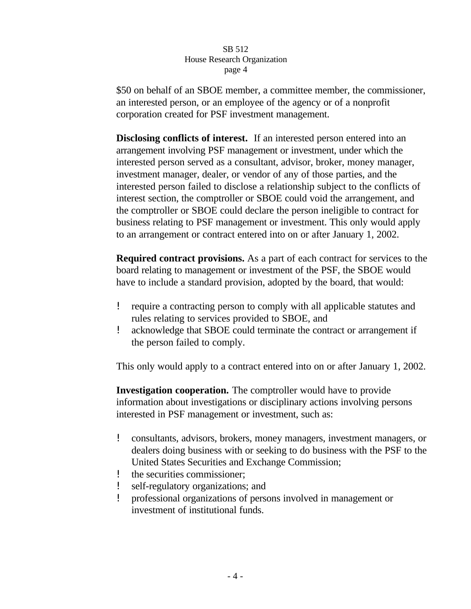\$50 on behalf of an SBOE member, a committee member, the commissioner, an interested person, or an employee of the agency or of a nonprofit corporation created for PSF investment management.

**Disclosing conflicts of interest.** If an interested person entered into an arrangement involving PSF management or investment, under which the interested person served as a consultant, advisor, broker, money manager, investment manager, dealer, or vendor of any of those parties, and the interested person failed to disclose a relationship subject to the conflicts of interest section, the comptroller or SBOE could void the arrangement, and the comptroller or SBOE could declare the person ineligible to contract for business relating to PSF management or investment. This only would apply to an arrangement or contract entered into on or after January 1, 2002.

**Required contract provisions.** As a part of each contract for services to the board relating to management or investment of the PSF, the SBOE would have to include a standard provision, adopted by the board, that would:

- ! require a contracting person to comply with all applicable statutes and rules relating to services provided to SBOE, and
- ! acknowledge that SBOE could terminate the contract or arrangement if the person failed to comply.

This only would apply to a contract entered into on or after January 1, 2002.

**Investigation cooperation.** The comptroller would have to provide information about investigations or disciplinary actions involving persons interested in PSF management or investment, such as:

- ! consultants, advisors, brokers, money managers, investment managers, or dealers doing business with or seeking to do business with the PSF to the United States Securities and Exchange Commission;
- ! the securities commissioner;
- ! self-regulatory organizations; and
- ! professional organizations of persons involved in management or investment of institutional funds.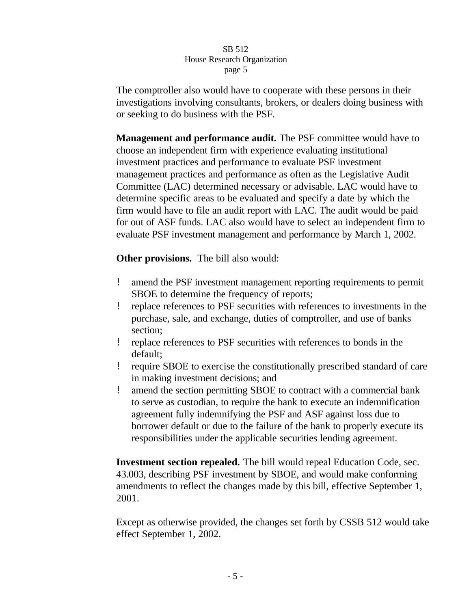The comptroller also would have to cooperate with these persons in their investigations involving consultants, brokers, or dealers doing business with or seeking to do business with the PSF.

**Management and performance audit.** The PSF committee would have to choose an independent firm with experience evaluating institutional investment practices and performance to evaluate PSF investment management practices and performance as often as the Legislative Audit Committee (LAC) determined necessary or advisable. LAC would have to determine specific areas to be evaluated and specify a date by which the firm would have to file an audit report with LAC. The audit would be paid for out of ASF funds. LAC also would have to select an independent firm to evaluate PSF investment management and performance by March 1, 2002.

**Other provisions.** The bill also would:

- ! amend the PSF investment management reporting requirements to permit SBOE to determine the frequency of reports;
- ! replace references to PSF securities with references to investments in the purchase, sale, and exchange, duties of comptroller, and use of banks section;
- ! replace references to PSF securities with references to bonds in the default;
- ! require SBOE to exercise the constitutionally prescribed standard of care in making investment decisions; and
- ! amend the section permitting SBOE to contract with a commercial bank to serve as custodian, to require the bank to execute an indemnification agreement fully indemnifying the PSF and ASF against loss due to borrower default or due to the failure of the bank to properly execute its responsibilities under the applicable securities lending agreement.

**Investment section repealed.** The bill would repeal Education Code, sec. 43.003, describing PSF investment by SBOE, and would make conforming amendments to reflect the changes made by this bill, effective September 1, 2001.

Except as otherwise provided, the changes set forth by CSSB 512 would take effect September 1, 2002.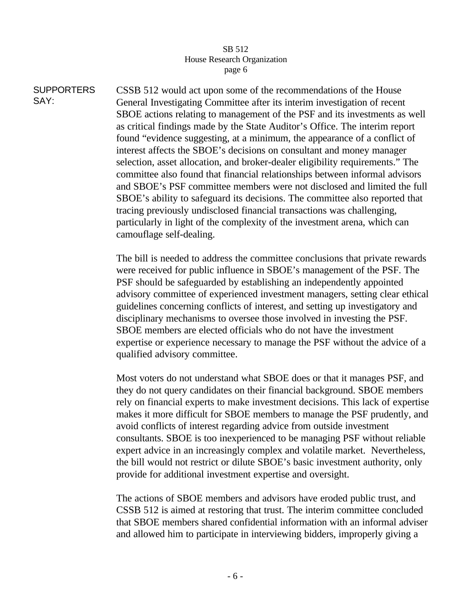**SUPPORTERS** SAY: CSSB 512 would act upon some of the recommendations of the House General Investigating Committee after its interim investigation of recent SBOE actions relating to management of the PSF and its investments as well as critical findings made by the State Auditor's Office. The interim report found "evidence suggesting, at a minimum, the appearance of a conflict of interest affects the SBOE's decisions on consultant and money manager selection, asset allocation, and broker-dealer eligibility requirements." The committee also found that financial relationships between informal advisors and SBOE's PSF committee members were not disclosed and limited the full SBOE's ability to safeguard its decisions. The committee also reported that tracing previously undisclosed financial transactions was challenging, particularly in light of the complexity of the investment arena, which can camouflage self-dealing.

> The bill is needed to address the committee conclusions that private rewards were received for public influence in SBOE's management of the PSF. The PSF should be safeguarded by establishing an independently appointed advisory committee of experienced investment managers, setting clear ethical guidelines concerning conflicts of interest, and setting up investigatory and disciplinary mechanisms to oversee those involved in investing the PSF. SBOE members are elected officials who do not have the investment expertise or experience necessary to manage the PSF without the advice of a qualified advisory committee.

> Most voters do not understand what SBOE does or that it manages PSF, and they do not query candidates on their financial background. SBOE members rely on financial experts to make investment decisions. This lack of expertise makes it more difficult for SBOE members to manage the PSF prudently, and avoid conflicts of interest regarding advice from outside investment consultants. SBOE is too inexperienced to be managing PSF without reliable expert advice in an increasingly complex and volatile market. Nevertheless, the bill would not restrict or dilute SBOE's basic investment authority, only provide for additional investment expertise and oversight.

> The actions of SBOE members and advisors have eroded public trust, and CSSB 512 is aimed at restoring that trust. The interim committee concluded that SBOE members shared confidential information with an informal adviser and allowed him to participate in interviewing bidders, improperly giving a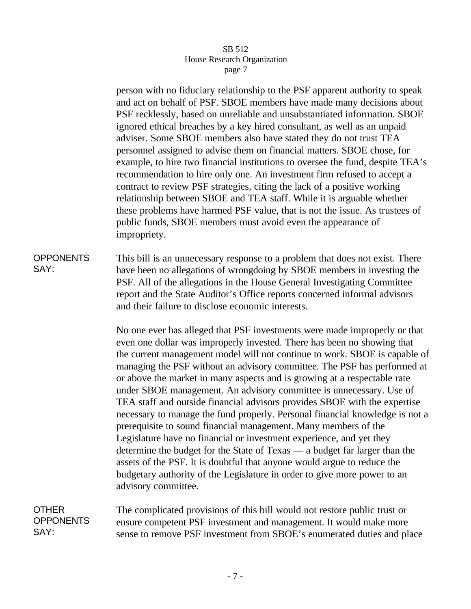person with no fiduciary relationship to the PSF apparent authority to speak and act on behalf of PSF. SBOE members have made many decisions about PSF recklessly, based on unreliable and unsubstantiated information. SBOE ignored ethical breaches by a key hired consultant, as well as an unpaid adviser. Some SBOE members also have stated they do not trust TEA personnel assigned to advise them on financial matters. SBOE chose, for example, to hire two financial institutions to oversee the fund, despite TEA's recommendation to hire only one. An investment firm refused to accept a contract to review PSF strategies, citing the lack of a positive working relationship between SBOE and TEA staff. While it is arguable whether these problems have harmed PSF value, that is not the issue. As trustees of public funds, SBOE members must avoid even the appearance of impropriety.

**OPPONENTS** SAY: This bill is an unnecessary response to a problem that does not exist. There have been no allegations of wrongdoing by SBOE members in investing the PSF. All of the allegations in the House General Investigating Committee report and the State Auditor's Office reports concerned informal advisors and their failure to disclose economic interests.

> No one ever has alleged that PSF investments were made improperly or that even one dollar was improperly invested. There has been no showing that the current management model will not continue to work. SBOE is capable of managing the PSF without an advisory committee. The PSF has performed at or above the market in many aspects and is growing at a respectable rate under SBOE management. An advisory committee is unnecessary. Use of TEA staff and outside financial advisors provides SBOE with the expertise necessary to manage the fund properly. Personal financial knowledge is not a prerequisite to sound financial management. Many members of the Legislature have no financial or investment experience, and yet they determine the budget for the State of Texas — a budget far larger than the assets of the PSF. It is doubtful that anyone would argue to reduce the budgetary authority of the Legislature in order to give more power to an advisory committee.

OTHER **OPPONENTS** SAY: The complicated provisions of this bill would not restore public trust or ensure competent PSF investment and management. It would make more sense to remove PSF investment from SBOE's enumerated duties and place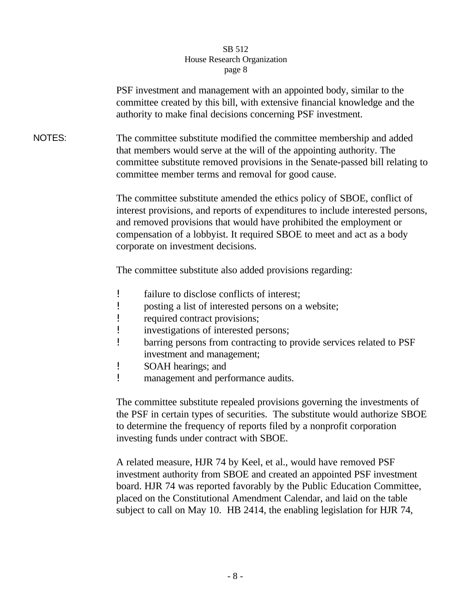PSF investment and management with an appointed body, similar to the committee created by this bill, with extensive financial knowledge and the authority to make final decisions concerning PSF investment.

NOTES: The committee substitute modified the committee membership and added that members would serve at the will of the appointing authority. The committee substitute removed provisions in the Senate-passed bill relating to committee member terms and removal for good cause.

> The committee substitute amended the ethics policy of SBOE, conflict of interest provisions, and reports of expenditures to include interested persons, and removed provisions that would have prohibited the employment or compensation of a lobbyist. It required SBOE to meet and act as a body corporate on investment decisions.

The committee substitute also added provisions regarding:

- ! failure to disclose conflicts of interest;
- ! posting a list of interested persons on a website;
- ! required contract provisions;
- ! investigations of interested persons;
- ! barring persons from contracting to provide services related to PSF investment and management;
- ! SOAH hearings; and
- ! management and performance audits.

The committee substitute repealed provisions governing the investments of the PSF in certain types of securities. The substitute would authorize SBOE to determine the frequency of reports filed by a nonprofit corporation investing funds under contract with SBOE.

A related measure, HJR 74 by Keel, et al., would have removed PSF investment authority from SBOE and created an appointed PSF investment board. HJR 74 was reported favorably by the Public Education Committee, placed on the Constitutional Amendment Calendar, and laid on the table subject to call on May 10. HB 2414, the enabling legislation for HJR 74,